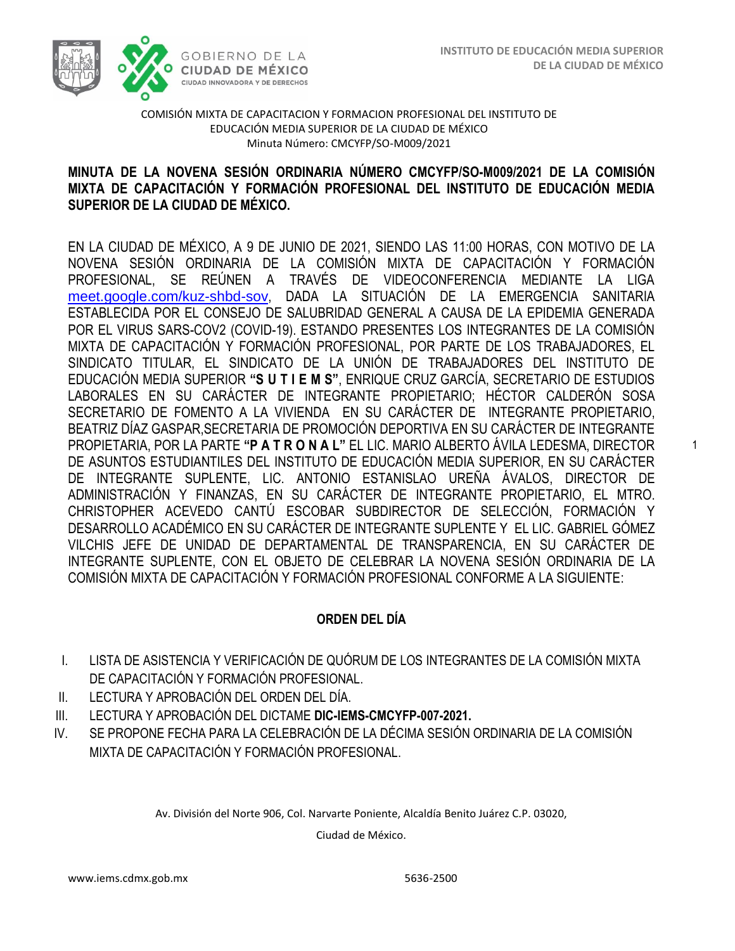1



#### COMISIÓN MIXTA DE CAPACITACION Y FORMACION PROFESIONAL DEL INSTITUTO DE EDUCACIÓN MEDIA SUPERIOR DE LA CIUDAD DE MÉXICO Minuta Número: CMCYFP/SO-M009/2021

# MIXTA DE CAPACITACIÓN Y FORMACIÓN PROFESIONAL DEL INSTITUTO DE EDUCACIÓN MEDIA  **SUPERIOR DE LA CIUDAD DE MÉXICO. MINUTA DE LA NOVENA SESIÓN ORDINARIA NÚMERO CMCYFP/SO-M009/2021 DE LA COMISIÓN**

EN LA CIUDAD DE MÉXICO, A 9 DE JUNIO DE 2021, SIENDO LAS 11:00 HORAS, CON MOTIVO DE LA NOVENA SESIÓN ORDINARIA DE LA COMISIÓN MIXTA DE CAPACITACIÓN Y FORMACIÓN PROFESIONAL, SE REÚNEN A TRAVÉS DE VIDEOCONFERENCIA MEDIANTE LA LIGA [meet.google.com/kuz-shbd-sov](https://meet.google.com/kuz-shbd-sov?hs=224), DADA LA SITUACIÓN DE LA EMERGENCIA SANITARIA ESTABLECIDA POR EL CONSEJO DE SALUBRIDAD GENERAL A CAUSA DE LA EPIDEMIA GENERADA POR EL VIRUS SARS-COV2 (COVID-19). ESTANDO PRESENTES LOS INTEGRANTES DE LA COMISIÓN MIXTA DE CAPACITACIÓN Y FORMACIÓN PROFESIONAL, POR PARTE DE LOS TRABAJADORES, EL SINDICATO TITULAR, EL SINDICATO DE LA UNIÓN DE TRABAJADORES DEL INSTITUTO DE EDUCACIÓN MEDIA SUPERIOR **"S U T I E M S"**, ENRIQUE CRUZ GARCÍA, SECRETARIO DE ESTUDIOS LABORALES EN SU CARÁCTER DE INTEGRANTE PROPIETARIO; HÉCTOR CALDERÓN SOSA SECRETARIO DE FOMENTO A LA VIVIENDA EN SU CARÁCTER DE INTEGRANTE PROPIETARIO, BEATRIZ DÍAZ GASPAR,SECRETARIA DE PROMOCIÓN DEPORTIVA EN SU CARÁCTER DE INTEGRANTE PROPIETARIA, POR LA PARTE **"P A T R O N A L"** EL LIC. MARIO ALBERTO ÁVILA LEDESMA, DIRECTOR DE ASUNTOS ESTUDIANTILES DEL INSTITUTO DE EDUCACIÓN MEDIA SUPERIOR, EN SU CARÁCTER DE INTEGRANTE SUPLENTE, LIC. ANTONIO ESTANISLAO UREÑA ÁVALOS, DIRECTOR DE ADMINISTRACIÓN Y FINANZAS, EN SU CARÁCTER DE INTEGRANTE PROPIETARIO, EL MTRO. CHRISTOPHER ACEVEDO CANTÚ ESCOBAR SUBDIRECTOR DE SELECCIÓN, FORMACIÓN Y DESARROLLO ACADÉMICO EN SU CARÁCTER DE INTEGRANTE SUPLENTE Y EL LIC. GABRIEL GÓMEZ VILCHIS JEFE DE UNIDAD DE DEPARTAMENTAL DE TRANSPARENCIA, EN SU CARÁCTER DE INTEGRANTE SUPLENTE, CON EL OBJETO DE CELEBRAR LA NOVENA SESIÓN ORDINARIA DE LA COMISIÓN MIXTA DE CAPACITACIÓN Y FORMACIÓN PROFESIONAL CONFORME A LA SIGUIENTE:

## **ORDEN DEL DÍA**

- I. LISTA DE ASISTENCIA Y VERIFICACIÓN DE QUÓRUM DE LOS INTEGRANTES DE LA COMISIÓN MIXTA DE CAPACITACIÓN Y FORMACIÓN PROFESIONAL.
- II. LECTURA Y APROBACIÓN DEL ORDEN DEL DÍA.
- III. LECTURA Y APROBACIÓN DEL DICTAME **DIC-IEMS-CMCYFP-007-2021.**
- IV. SE PROPONE FECHA PARA LA CELEBRACIÓN DE LA DÉCIMA SESIÓN ORDINARIA DE LA COMISIÓN MIXTA DE CAPACITACIÓN Y FORMACIÓN PROFESIONAL.

Av. División del Norte 906, Col. Narvarte Poniente, Alcaldía Benito Juárez C.P. 03020,

Ciudad de México.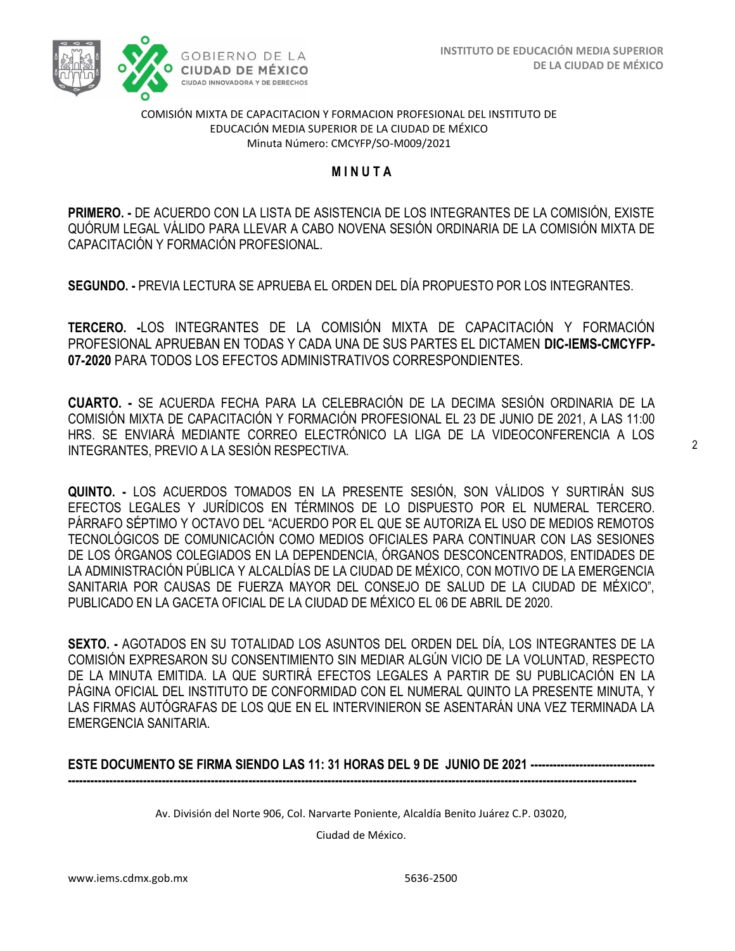

#### COMISIÓN MIXTA DE CAPACITACION Y FORMACION PROFESIONAL DEL INSTITUTO DE EDUCACIÓN MEDIA SUPERIOR DE LA CIUDAD DE MÉXICO Minuta Número: CMCYFP/SO-M009/2021

#### **M I N U T A**

 **PRIMERO. -** DE ACUERDO CON LA LISTA DE ASISTENCIA DE LOS INTEGRANTES DE LA COMISIÓN, EXISTE QUÓRUM LEGAL VÁLIDO PARA LLEVAR A CABO NOVENA SESIÓN ORDINARIA DE LA COMISIÓN MIXTA DE CAPACITACIÓN Y FORMACIÓN PROFESIONAL.

**SEGUNDO. -** PREVIA LECTURA SE APRUEBA EL ORDEN DEL DÍA PROPUESTO POR LOS INTEGRANTES.

**TERCERO. -**LOS INTEGRANTES DE LA COMISIÓN MIXTA DE CAPACITACIÓN Y FORMACIÓN PROFESIONAL APRUEBAN EN TODAS Y CADA UNA DE SUS PARTES EL DICTAMEN **DIC-IEMS-CMCYFP-07-2020** PARA TODOS LOS EFECTOS ADMINISTRATIVOS CORRESPONDIENTES.

**CUARTO. -** SE ACUERDA FECHA PARA LA CELEBRACIÓN DE LA DECIMA SESIÓN ORDINARIA DE LA COMISIÓN MIXTA DE CAPACITACIÓN Y FORMACIÓN PROFESIONAL EL 23 DE JUNIO DE 2021, A LAS 11:00 HRS. SE ENVIARÁ MEDIANTE CORREO ELECTRÓNICO LA LIGA DE LA VIDEOCONFERENCIA A LOS INTEGRANTES, PREVIO A LA SESIÓN RESPECTIVA.

**QUINTO. -** LOS ACUERDOS TOMADOS EN LA PRESENTE SESIÓN, SON VÁLIDOS Y SURTIRÁN SUS EFECTOS LEGALES Y JURÍDICOS EN TÉRMINOS DE LO DISPUESTO POR EL NUMERAL TERCERO. PÁRRAFO SÉPTIMO Y OCTAVO DEL "ACUERDO POR EL QUE SE AUTORIZA EL USO DE MEDIOS REMOTOS TECNOLÓGICOS DE COMUNICACIÓN COMO MEDIOS OFICIALES PARA CONTINUAR CON LAS SESIONES DE LOS ÓRGANOS COLEGIADOS EN LA DEPENDENCIA, ÓRGANOS DESCONCENTRADOS, ENTIDADES DE LA ADMINISTRACIÓN PÚBLICA Y ALCALDÍAS DE LA CIUDAD DE MÉXICO, CON MOTIVO DE LA EMERGENCIA SANITARIA POR CAUSAS DE FUERZA MAYOR DEL CONSEJO DE SALUD DE LA CIUDAD DE MÉXICO", PUBLICADO EN LA GACETA OFICIAL DE LA CIUDAD DE MÉXICO EL 06 DE ABRIL DE 2020.

**SEXTO. -** AGOTADOS EN SU TOTALIDAD LOS ASUNTOS DEL ORDEN DEL DÍA, LOS INTEGRANTES DE LA COMISIÓN EXPRESARON SU CONSENTIMIENTO SIN MEDIAR ALGÚN VICIO DE LA VOLUNTAD, RESPECTO DE LA MINUTA EMITIDA. LA QUE SURTIRÁ EFECTOS LEGALES A PARTIR DE SU PUBLICACIÓN EN LA PÁGINA OFICIAL DEL INSTITUTO DE CONFORMIDAD CON EL NUMERAL QUINTO LA PRESENTE MINUTA, Y LAS FIRMAS AUTÓGRAFAS DE LOS QUE EN EL INTERVINIERON SE ASENTARÁN UNA VEZ TERMINADA LA EMERGENCIA SANITARIA.

**ESTE DOCUMENTO SE FIRMA SIENDO LAS 11: 31 HORAS DEL 9 DE JUNIO DE 2021 ---------------------------------**

**-------------------------------------------------------------------------------------------------------------------------------------------------------**

Av. División del Norte 906, Col. Narvarte Poniente, Alcaldía Benito Juárez C.P. 03020,

Ciudad de México.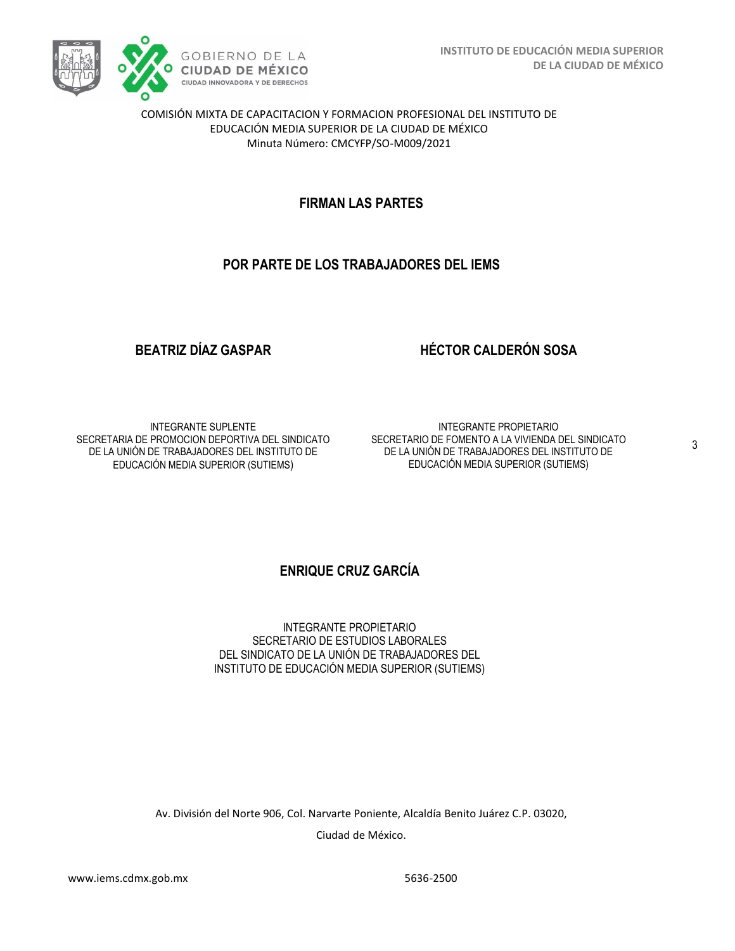

COMISIÓN MIXTA DE CAPACITACION Y FORMACION PROFESIONAL DEL INSTITUTO DE EDUCACIÓN MEDIA SUPERIOR DE LA CIUDAD DE MÉXICO Minuta Número: CMCYFP/SO-M009/2021

# **FIRMAN LAS PARTES**

# **POR PARTE DE LOS TRABAJADORES DEL IEMS**

## **BEATRIZ DÍAZ GASPAR**

## **HÉCTOR CALDERÓN SOSA**

INTEGRANTE SUPLENTE SECRETARIA DE PROMOCION DEPORTIVA DEL SINDICATO DE LA UNIÓN DE TRABAJADORES DEL INSTITUTO DE EDUCACIÓN MEDIA SUPERIOR (SUTIEMS)

INTEGRANTE PROPIETARIO SECRETARIO DE FOMENTO A LA VIVIENDA DEL SINDICATO DE LA UNIÓN DE TRABAJADORES DEL INSTITUTO DE EDUCACIÓN MEDIA SUPERIOR (SUTIEMS)

# **ENRIQUE CRUZ GARCÍA**

INTEGRANTE PROPIETARIO SECRETARIO DE ESTUDIOS LABORALES DEL SINDICATO DE LA UNIÓN DE TRABAJADORES DEL INSTITUTO DE EDUCACIÓN MEDIA SUPERIOR (SUTIEMS)

Av. División del Norte 906, Col. Narvarte Poniente, Alcaldía Benito Juárez C.P. 03020,

Ciudad de México.